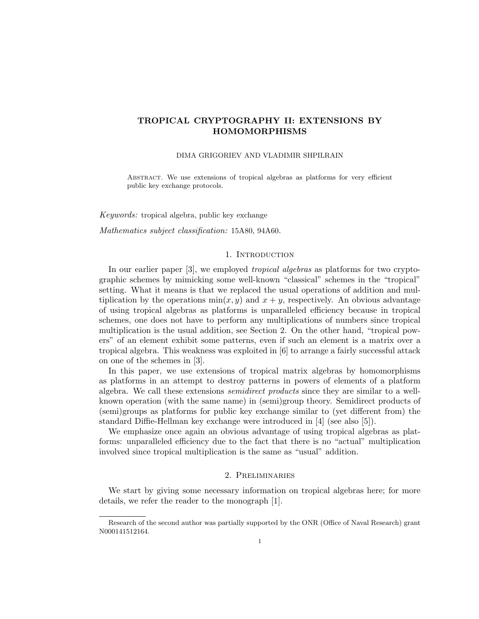# **TROPICAL CRYPTOGRAPHY II: EXTENSIONS BY HOMOMORPHISMS**

## DIMA GRIGORIEV AND VLADIMIR SHPILRAIN

Abstract. We use extensions of tropical algebras as platforms for very efficient public key exchange protocols.

*Keywords:* tropical algebra, public key exchange

*Mathematics subject classification:* 15A80, 94A60.

## 1. INTRODUCTION

In our earlier paper [3], we employed *tropical algebras* as platforms for two cryptographic schemes by mimicking some well-known "classical" schemes in the "tropical" setting. What it means is that we replaced the usual operations of addition and multiplication by the operations  $min(x, y)$  and  $x + y$ , respectively. An obvious advantage of using tropical algebras as platforms is unparalleled efficiency because in tropical schemes, one does not have to perform any multiplications of numbers since tropical multiplication is the usual addition, see Section 2. On the other hand, "tropical powers" of an element exhibit some patterns, even if such an element is a matrix over a tropical algebra. This weakness was exploited in [6] to arrange a fairly successful attack on one of the schemes in [3].

In this paper, we use extensions of tropical matrix algebras by homomorphisms as platforms in an attempt to destroy patterns in powers of elements of a platform algebra. We call these extensions *semidirect products* since they are similar to a wellknown operation (with the same name) in (semi)group theory. Semidirect products of (semi)groups as platforms for public key exchange similar to (yet different from) the standard Diffie-Hellman key exchange were introduced in [4] (see also [5]).

We emphasize once again an obvious advantage of using tropical algebras as platforms: unparalleled efficiency due to the fact that there is no "actual" multiplication involved since tropical multiplication is the same as "usual" addition.

## 2. Preliminaries

We start by giving some necessary information on tropical algebras here; for more details, we refer the reader to the monograph [1].

Research of the second author was partially supported by the ONR (Office of Naval Research) grant N000141512164.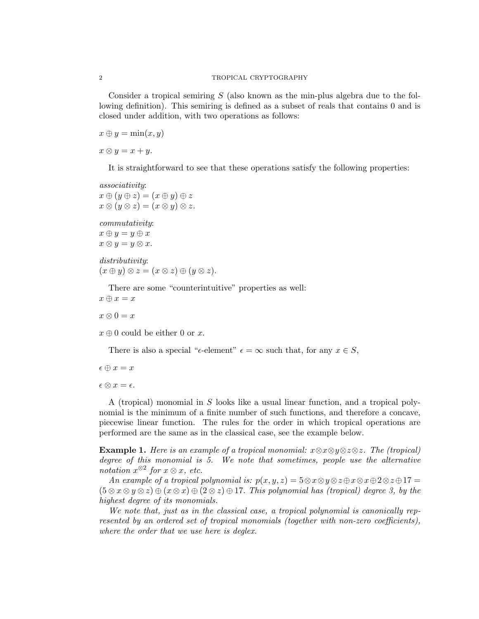Consider a tropical semiring *S* (also known as the min-plus algebra due to the following definition). This semiring is defined as a subset of reals that contains 0 and is closed under addition, with two operations as follows:

 $x \oplus y = \min(x, y)$ 

 $x \otimes y = x + y$ .

It is straightforward to see that these operations satisfy the following properties:

*associativity*:  $x \oplus (y \oplus z) = (x \oplus y) \oplus z$  $x \otimes (y \otimes z) = (x \otimes y) \otimes z.$ 

*commutativity*:  $x \oplus y = y \oplus x$  $x \otimes y = y \otimes x$ .

*distributivity*:  $(x \oplus y) \otimes z = (x \otimes z) \oplus (y \otimes z).$ 

There are some "counterintuitive" properties as well:  $x \oplus x = x$ 

 $x \otimes 0 = x$ 

 $x \oplus 0$  could be either 0 or *x*.

There is also a special " $\epsilon$ -element"  $\epsilon = \infty$  such that, for any  $x \in S$ ,

 $\epsilon \oplus x = x$ 

 $\epsilon \otimes x = \epsilon$ .

A (tropical) monomial in *S* looks like a usual linear function, and a tropical polynomial is the minimum of a finite number of such functions, and therefore a concave, piecewise linear function. The rules for the order in which tropical operations are performed are the same as in the classical case, see the example below.

**Example 1.** *Here is an example of a tropical monomial: x⊗x⊗y⊗z⊗z. The (tropical) degree of this monomial is 5. We note that sometimes, people use the alternative notation*  $x^{\otimes 2}$  *for*  $x \otimes x$ *, etc.* 

*An example of a tropical polynomial is:*  $p(x, y, z) = 5 \otimes x \otimes y \otimes z \oplus x \otimes x \oplus 2 \otimes z \oplus 17 = 0$  $(5 \otimes x \otimes y \otimes z) \oplus (x \otimes x) \oplus (2 \otimes z) \oplus 17$ *. This polynomial has (tropical) degree 3, by the highest degree of its monomials.*

*We note that, just as in the classical case, a tropical polynomial is canonically represented by an ordered set of tropical monomials (together with non-zero coefficients), where the order that we use here is deglex.*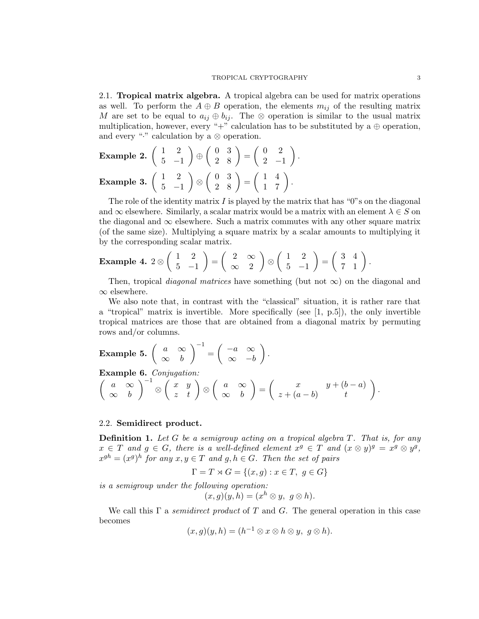2.1. **Tropical matrix algebra.** A tropical algebra can be used for matrix operations as well. To perform the  $A \oplus B$  operation, the elements  $m_{ij}$  of the resulting matrix *M* are set to be equal to  $a_{ij} \oplus b_{ij}$ . The  $\otimes$  operation is similar to the usual matrix multiplication, however, every "+" calculation has to be substituted by a  $\oplus$  operation, and every "*·*" calculation by a *⊗* operation.

**Example 2.** 
$$
\begin{pmatrix} 1 & 2 \\ 5 & -1 \end{pmatrix} \oplus \begin{pmatrix} 0 & 3 \\ 2 & 8 \end{pmatrix} = \begin{pmatrix} 0 & 2 \\ 2 & -1 \end{pmatrix}.
$$
  
**Example 3.**  $\begin{pmatrix} 1 & 2 \\ 5 & -1 \end{pmatrix} \otimes \begin{pmatrix} 0 & 3 \\ 2 & 8 \end{pmatrix} = \begin{pmatrix} 1 & 4 \\ 1 & 7 \end{pmatrix}.$ 

The role of the identity matrix *I* is played by the matrix that has "0"s on the diagonal and  $\infty$  elsewhere. Similarly, a scalar matrix would be a matrix with an element  $\lambda \in S$  on the diagonal and  $\infty$  elsewhere. Such a matrix commutes with any other square matrix (of the same size). Multiplying a square matrix by a scalar amounts to multiplying it by the corresponding scalar matrix.

#### **Example 4.** 2 *⊗*  $(1 \ 2)$ 5 *−*1  $\setminus$ = ( 2 *∞ ∞* 2  $\setminus$ *⊗*  $(1 \ 2)$ 5 *−*1  $\setminus$ =  $\left(\begin{array}{cc} 3 & 4 \\ 7 & 1 \end{array}\right)$ .

Then, tropical *diagonal matrices* have something (but not *∞*) on the diagonal and *∞* elsewhere.

We also note that, in contrast with the "classical" situation, it is rather rare that a "tropical" matrix is invertible. More specifically (see [1, p.5]), the only invertible tropical matrices are those that are obtained from a diagonal matrix by permuting rows and/or columns.

**Example 5.** 
$$
\begin{pmatrix} a & \infty \\ \infty & b \end{pmatrix}^{-1} = \begin{pmatrix} -a & \infty \\ \infty & -b \end{pmatrix}.
$$

**Example 6.** *Conjugation:*

$$
\left(\begin{array}{cc}a&\infty\\ \infty&b\end{array}\right)^{-1}\otimes\left(\begin{array}{cc}x&y\\ z&t\end{array}\right)\otimes\left(\begin{array}{cc}a&\infty\\ \infty&b\end{array}\right)=\left(\begin{array}{cc}x&y+(b-a)\\ z+(a-b)&t\end{array}\right).
$$

## 2.2. **Semidirect product.**

**Definition 1.** *Let G be a semigroup acting on a tropical algebra T. That is, for any*  $x \in T$  and  $g \in G$ , there is a well-defined element  $x^g \in T$  and  $(x \otimes y)^g = x^g \otimes y^g$ ,  $x^{gh} = (x^g)^h$  for any  $x, y \in T$  and  $g, h \in G$ . Then the set of pairs

$$
\Gamma = T \rtimes G = \{(x, g) : x \in T, g \in G\}
$$

*is a semigroup under the following operation:*

$$
(x,g)(y,h)=(x^h\otimes y,\ g\otimes h).
$$

We call this Γ a *semidirect product* of *T* and *G*. The general operation in this case becomes

$$
(x,g)(y,h)=(h^{-1}\otimes x\otimes h\otimes y,\; g\otimes h).
$$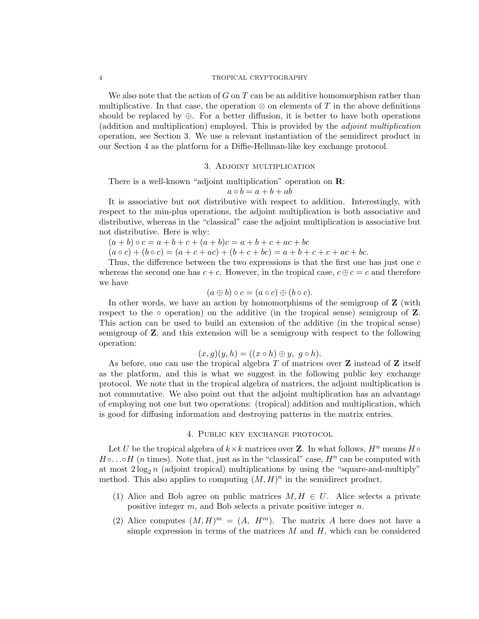We also note that the action of *G* on *T* can be an additive homomorphism rather than multiplicative. In that case, the operation  $\otimes$  on elements of *T* in the above definitions should be replaced by  $\oplus$ . For a better diffusion, it is better to have both operations (addition and multiplication) employed. This is provided by the *adjoint multiplication* operation, see Section 3. We use a relevant instantiation of the semidirect product in our Section 4 as the platform for a Diffie-Hellman-like key exchange protocol.

## 3. Adjoint multiplication

There is a well-known "adjoint multiplication" operation on **R**:

$$
a \circ b = a + b + ab
$$

It is associative but not distributive with respect to addition. Interestingly, with respect to the min-plus operations, the adjoint multiplication is both associative and distributive, whereas in the "classical" case the adjoint multiplication is associative but not distributive. Here is why:

 $(a + b) \circ c = a + b + c + (a + b)c = a + b + c + ac + bc$ 

 $(a \circ c) + (b \circ c) = (a + c + ac) + (b + c + bc) = a + b + c + c + ac + bc.$ 

Thus, the difference between the two expressions is that the first one has just one *c* whereas the second one has  $c + c$ . However, in the tropical case,  $c \oplus c = c$  and therefore we have

$$
(a \oplus b) \circ c = (a \circ c) \oplus (b \circ c).
$$

In other words, we have an action by homomorphisms of the semigroup of **Z** (with respect to the *◦* operation) on the additive (in the tropical sense) semigroup of **Z**. This action can be used to build an extension of the additive (in the tropical sense) semigroup of **Z**, and this extension will be a semigroup with respect to the following operation:

$$
(x,g)(y,h) = ((x \circ h) \oplus y, g \circ h).
$$

As before, one can use the tropical algebra *T* of matrices over **Z** instead of **Z** itself as the platform, and this is what we suggest in the following public key exchange protocol. We note that in the tropical algebra of matrices, the adjoint multiplication is not commutative. We also point out that the adjoint multiplication has an advantage of employing not one but two operations: (tropical) addition and multiplication, which is good for diffusing information and destroying patterns in the matrix entries.

## 4. Public key exchange protocol

Let *U* be the tropical algebra of  $k \times k$  matrices over **Z**. In what follows,  $H^n$  means  $H \circ$  $H \circ \ldots \circ H$  (*n* times). Note that, just as in the "classical" case,  $H^n$  can be computed with at most  $2 \log_2 n$  (adjoint tropical) multiplications by using the "square-and-multiply" method. This also applies to computing  $(M, H)^n$  in the semidirect product.

- (1) Alice and Bob agree on public matrices  $M, H \in U$ . Alice selects a private positive integer *m*, and Bob selects a private positive integer *n*.
- (2) Alice computes  $(M, H)^m = (A, H^m)$ . The matrix *A* here does not have a simple expression in terms of the matrices *M* and *H*, which can be considered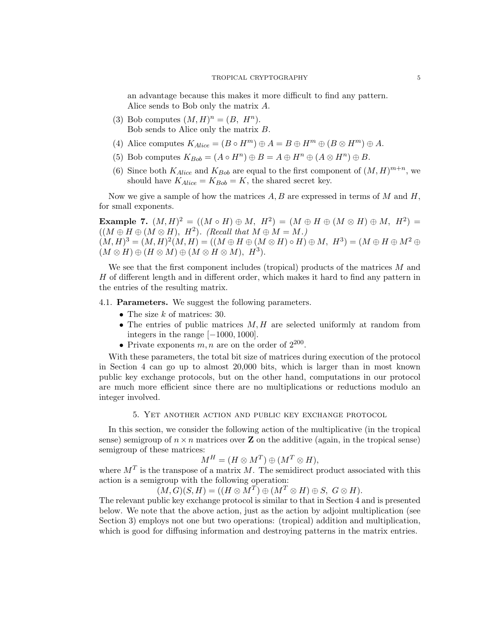an advantage because this makes it more difficult to find any pattern. Alice sends to Bob only the matrix *A*.

- (3) Bob computes  $(M, H)^n = (B, H^n)$ . Bob sends to Alice only the matrix *B*.
- (4) Alice computes  $K_{Alice} = (B \circ H^m) \oplus A = B \oplus H^m \oplus (B \otimes H^m) \oplus A$ .
- (5) Bob computes  $K_{Bob} = (A \circ H^n) \oplus B = A \oplus H^n \oplus (A \otimes H^n) \oplus B$ .
- (6) Since both  $K_{Alice}$  and  $K_{Bob}$  are equal to the first component of  $(M, H)^{m+n}$ , we should have  $K_{Alice} = K_{Bob} = K$ , the shared secret key.

Now we give a sample of how the matrices *A, B* are expressed in terms of *M* and *H*, for small exponents.

**Example 7.**  $(M, H)^2 = ((M \circ H) \oplus M, H^2) = (M \oplus H \oplus (M \otimes H) \oplus M, H^2) =$  $((M \oplus H \oplus (M \otimes H), H^2))$ . (Recall that  $M \oplus M = M$ .)  $(M, H)^3 = (M, H)^2(M, H) = ((M \oplus H \oplus (M \otimes H) \circ H) \oplus M, H^3) = (M \oplus H \oplus M^2 \oplus H)$  $(M \otimes H) \oplus (H \otimes M) \oplus (M \otimes H \otimes M), H^3$ 

We see that the first component includes (tropical) products of the matrices *M* and *H* of different length and in different order, which makes it hard to find any pattern in the entries of the resulting matrix.

4.1. **Parameters.** We suggest the following parameters.

- *•* The size *k* of matrices: 30.
- *•* The entries of public matrices *M, H* are selected uniformly at random from integers in the range [*−*1000*,* 1000].
- Private exponents  $m, n$  are on the order of  $2^{200}$ .

With these parameters, the total bit size of matrices during execution of the protocol in Section 4 can go up to almost 20,000 bits, which is larger than in most known public key exchange protocols, but on the other hand, computations in our protocol are much more efficient since there are no multiplications or reductions modulo an integer involved.

## 5. Yet another action and public key exchange protocol

In this section, we consider the following action of the multiplicative (in the tropical sense) semigroup of  $n \times n$  matrices over **Z** on the additive (again, in the tropical sense) semigroup of these matrices:

$$
M^H = (H \otimes M^T) \oplus (M^T \otimes H),
$$

where  $M<sup>T</sup>$  is the transpose of a matrix *M*. The semidirect product associated with this action is a semigroup with the following operation:

 $(M, G)(S, H) = ((H \otimes M^T) \oplus (M^T \otimes H) \oplus S, G \otimes H).$ 

The relevant public key exchange protocol is similar to that in Section 4 and is presented below. We note that the above action, just as the action by adjoint multiplication (see Section 3) employs not one but two operations: (tropical) addition and multiplication, which is good for diffusing information and destroying patterns in the matrix entries.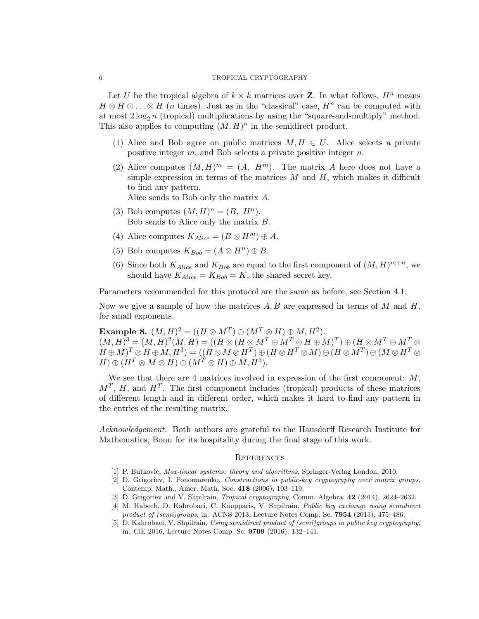Let *U* be the tropical algebra of  $k \times k$  matrices over **Z**. In what follows,  $H^n$  means  $H \otimes H \otimes \ldots \otimes H$  (*n* times). Just as in the "classical" case,  $H^n$  can be computed with at most  $2 \log_2 n$  (tropical) multiplications by using the "square-and-multiply" method. This also applies to computing  $(M, H)^n$  in the semidirect product.

- (1) Alice and Bob agree on public matrices  $M, H \in U$ . Alice selects a private positive integer *m*, and Bob selects a private positive integer *n*.
- (2) Alice computes  $(M, H)^m = (A, H^m)$ . The matrix *A* here does not have a simple expression in terms of the matrices *M* and *H*, which makes it difficult to find any pattern.

Alice sends to Bob only the matrix *A*.

- (3) Bob computes  $(M, H)^n = (B, H^n)$ . Bob sends to Alice only the matrix *B*.
- (4) Alice computes  $K_{Alice} = (B \otimes H^m) \oplus A$ .
- (5) Bob computes  $K_{Bob} = (A \otimes H^n) \oplus B$ .
- (6) Since both  $K_{Alice}$  and  $K_{Bob}$  are equal to the first component of  $(M, H)^{m+n}$ , we should have  $K_{Alice} = K_{Bob} = K$ , the shared secret key.

Parameters recommended for this protocol are the same as before, see Section 4.1.

Now we give a sample of how the matrices *A, B* are expressed in terms of *M* and *H*, for small exponents.

**Example 8.**  $(M, H)^2 = ((H \otimes M^T) \oplus (M^T \otimes H) \oplus M, H^2)$ . (*M, H*) <sup>3</sup> = (*M, H*) 2 (*M, H*) = ((*H ⊗* (*H ⊗ M<sup>T</sup> ⊕ M<sup>T</sup> ⊗ H ⊕ M*) *T* ) *⊕* (*H ⊗ M<sup>T</sup> ⊕ M<sup>T</sup> ⊗*  $(H\oplus M)^T\otimes H\oplus M, H^3)=((H\otimes M\otimes H^T)\oplus (H\otimes H^T\otimes M)\oplus (H\otimes M^T)\oplus (M\otimes H^T\otimes H^T\otimes H^T))$  $H) \oplus (H^T \otimes M \otimes H) \oplus (M^T \otimes H) \oplus M, H^3)$ .

We see that there are 4 matrices involved in expression of the first component: *M*,  $M<sup>T</sup>$ , *H*, and *H*<sup>*T*</sup>. The first component includes (tropical) products of these matrices of different length and in different order, which makes it hard to find any pattern in the entries of the resulting matrix.

*Acknowledgement.* Both authors are grateful to the Hausdorff Research Institute for Mathematics, Bonn for its hospitality during the final stage of this work.

#### **REFERENCES**

- [1] P. Butkovic, *Max-linear systems: theory and algorithms*, Springer-Verlag London, 2010.
- [2] D. Grigoriev, I. Ponomarenko, *Constructions in public-key cryptography over matrix groups*, Contemp. Math., Amer. Math. Soc. **418** (2006), 103–119.
- [3] D. Grigoriev and V. Shpilrain, *Tropical cryptography*, Comm. Algebra. **42** (2014), 2624–2632.
- [4] M. Habeeb, D. Kahrobaei, C. Koupparis, V. Shpilrain, *Public key exchange using semidirect product of (semi)groups*, in: ACNS 2013, Lecture Notes Comp. Sc. **7954** (2013), 475–486.
- [5] D. Kahrobaei, V. Shpilrain, *Using semidirect product of (semi)groups in public key cryptography*, in: CiE 2016, Lecture Notes Comp. Sc. **9709** (2016), 132–141.